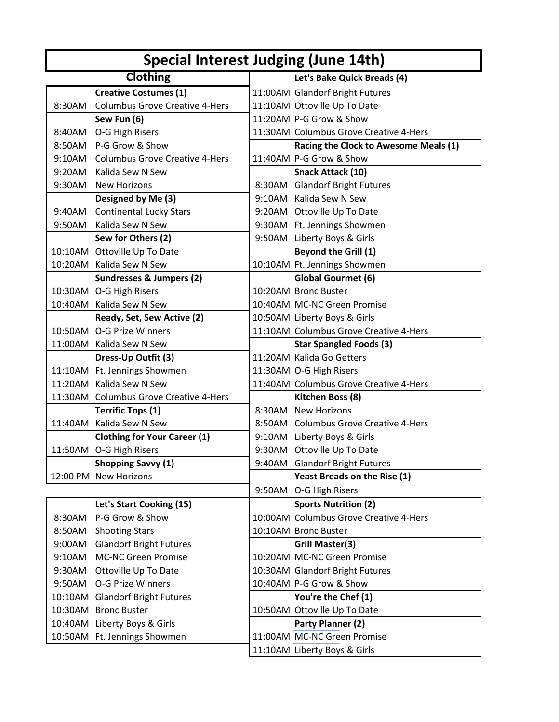| Special Interest Judging (June 14th) |                                        |  |                                        |  |  |
|--------------------------------------|----------------------------------------|--|----------------------------------------|--|--|
|                                      | Clothing                               |  | Let's Bake Quick Breads (4)            |  |  |
|                                      | <b>Creative Costumes (1)</b>           |  | 11:00AM Glandorf Bright Futures        |  |  |
| 8:30AM                               | <b>Columbus Grove Creative 4-Hers</b>  |  | 11:10AM Ottoville Up To Date           |  |  |
|                                      | Sew Fun (6)                            |  | 11:20AM P-G Grow & Show                |  |  |
|                                      | 8:40AM O-G High Risers                 |  | 11:30AM Columbus Grove Creative 4-Hers |  |  |
|                                      | 8:50AM P-G Grow & Show                 |  | Racing the Clock to Awesome Meals (1)  |  |  |
|                                      | 9:10AM Columbus Grove Creative 4-Hers  |  | 11:40AM P-G Grow & Show                |  |  |
| 9:20AM                               | Kalida Sew N Sew                       |  | Snack Attack (10)                      |  |  |
|                                      | 9:30AM New Horizons                    |  | 8:30AM Glandorf Bright Futures         |  |  |
|                                      | Designed by Me (3)                     |  | 9:10AM Kalida Sew N Sew                |  |  |
|                                      | 9:40AM Continental Lucky Stars         |  | 9:20AM Ottoville Up To Date            |  |  |
| 9:50AM                               | Kalida Sew N Sew                       |  | 9:30AM Ft. Jennings Showmen            |  |  |
|                                      | Sew for Others (2)                     |  | 9:50AM Liberty Boys & Girls            |  |  |
|                                      | 10:10AM Ottoville Up To Date           |  | <b>Beyond the Grill (1)</b>            |  |  |
|                                      | 10:20AM Kalida Sew N Sew               |  | 10:10AM Ft. Jennings Showmen           |  |  |
|                                      | <b>Sundresses &amp; Jumpers (2)</b>    |  | <b>Global Gourmet (6)</b>              |  |  |
|                                      | 10:30AM O-G High Risers                |  | 10:20AM Bronc Buster                   |  |  |
|                                      | 10:40AM Kalida Sew N Sew               |  | 10:40AM MC-NC Green Promise            |  |  |
|                                      | Ready, Set, Sew Active (2)             |  | 10:50AM Liberty Boys & Girls           |  |  |
|                                      | 10:50AM O-G Prize Winners              |  | 11:10AM Columbus Grove Creative 4-Hers |  |  |
|                                      | 11:00AM Kalida Sew N Sew               |  | <b>Star Spangled Foods (3)</b>         |  |  |
|                                      | Dress-Up Outfit (3)                    |  | 11:20AM Kalida Go Getters              |  |  |
|                                      | 11:10AM Ft. Jennings Showmen           |  | 11:30AM O-G High Risers                |  |  |
|                                      | 11:20AM Kalida Sew N Sew               |  | 11:40AM Columbus Grove Creative 4-Hers |  |  |
|                                      | 11:30AM Columbus Grove Creative 4-Hers |  | Kitchen Boss (8)                       |  |  |
|                                      | <b>Terrific Tops (1)</b>               |  | 8:30AM New Horizons                    |  |  |
|                                      | 11:40AM Kalida Sew N Sew               |  | 8:50AM Columbus Grove Creative 4-Hers  |  |  |
|                                      | <b>Clothing for Your Career (1)</b>    |  | 9:10AM Liberty Boys & Girls            |  |  |
|                                      | 11:50AM O-G High Risers                |  | 9:30AM Ottoville Up To Date            |  |  |
|                                      | <b>Shopping Savvy (1)</b>              |  | 9:40AM Glandorf Bright Futures         |  |  |
|                                      | 12:00 PM New Horizons                  |  | <b>Yeast Breads on the Rise (1)</b>    |  |  |
|                                      |                                        |  | 9:50AM O-G High Risers                 |  |  |
|                                      | Let's Start Cooking (15)               |  | <b>Sports Nutrition (2)</b>            |  |  |
| 8:30AM                               | P-G Grow & Show                        |  | 10:00AM Columbus Grove Creative 4-Hers |  |  |
| 8:50AM                               | <b>Shooting Stars</b>                  |  | 10:10AM Bronc Buster                   |  |  |
| 9:00AM                               | <b>Glandorf Bright Futures</b>         |  | <b>Grill Master(3)</b>                 |  |  |
| 9:10AM                               | <b>MC-NC Green Promise</b>             |  | 10:20AM MC-NC Green Promise            |  |  |
| 9:30AM                               | Ottoville Up To Date                   |  | 10:30AM Glandorf Bright Futures        |  |  |
|                                      | 9:50AM O-G Prize Winners               |  | 10:40AM P-G Grow & Show                |  |  |
|                                      | 10:10AM Glandorf Bright Futures        |  | You're the Chef (1)                    |  |  |
|                                      | 10:30AM Bronc Buster                   |  | 10:50AM Ottoville Up To Date           |  |  |
|                                      | 10:40AM Liberty Boys & Girls           |  | Party Planner (2)                      |  |  |
|                                      | 10:50AM Ft. Jennings Showmen           |  | 11:00AM MC-NC Green Promise            |  |  |
|                                      |                                        |  | 11:10AM Liberty Boys & Girls           |  |  |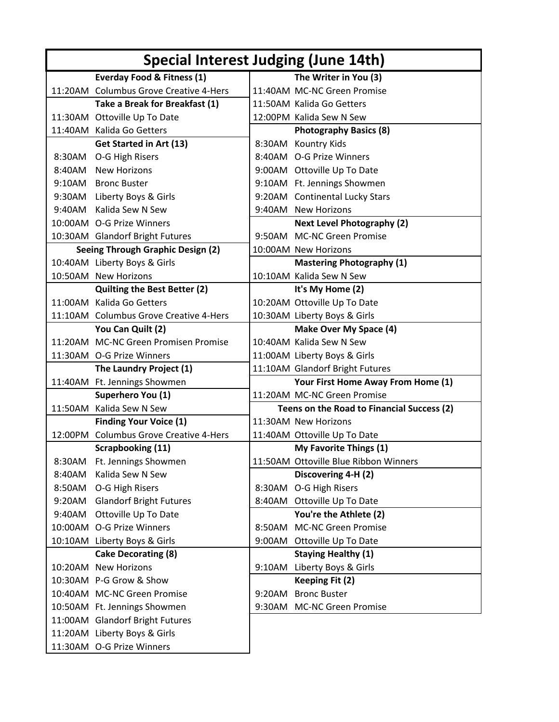| Special Interest Judging (June 14th) |                                        |  |                                            |  |  |
|--------------------------------------|----------------------------------------|--|--------------------------------------------|--|--|
|                                      | Everday Food & Fitness (1)             |  | The Writer in You (3)                      |  |  |
|                                      | 11:20AM Columbus Grove Creative 4-Hers |  | 11:40AM MC-NC Green Promise                |  |  |
|                                      | Take a Break for Breakfast (1)         |  | 11:50AM Kalida Go Getters                  |  |  |
|                                      | 11:30AM Ottoville Up To Date           |  | 12:00PM Kalida Sew N Sew                   |  |  |
|                                      | 11:40AM Kalida Go Getters              |  | <b>Photography Basics (8)</b>              |  |  |
|                                      | <b>Get Started in Art (13)</b>         |  | 8:30AM Kountry Kids                        |  |  |
|                                      | 8:30AM O-G High Risers                 |  | 8:40AM O-G Prize Winners                   |  |  |
|                                      | 8:40AM New Horizons                    |  | 9:00AM Ottoville Up To Date                |  |  |
|                                      | 9:10AM Bronc Buster                    |  | 9:10AM Ft. Jennings Showmen                |  |  |
|                                      | 9:30AM Liberty Boys & Girls            |  | 9:20AM Continental Lucky Stars             |  |  |
|                                      | 9:40AM Kalida Sew N Sew                |  | 9:40AM New Horizons                        |  |  |
|                                      | 10:00AM O-G Prize Winners              |  | <b>Next Level Photography (2)</b>          |  |  |
|                                      | 10:30AM Glandorf Bright Futures        |  | 9:50AM MC-NC Green Promise                 |  |  |
|                                      | Seeing Through Graphic Design (2)      |  | 10:00AM New Horizons                       |  |  |
|                                      | 10:40AM Liberty Boys & Girls           |  | <b>Mastering Photography (1)</b>           |  |  |
|                                      | 10:50AM New Horizons                   |  | 10:10AM Kalida Sew N Sew                   |  |  |
|                                      | <b>Quilting the Best Better (2)</b>    |  | It's My Home (2)                           |  |  |
|                                      | 11:00AM Kalida Go Getters              |  | 10:20AM Ottoville Up To Date               |  |  |
|                                      | 11:10AM Columbus Grove Creative 4-Hers |  | 10:30AM Liberty Boys & Girls               |  |  |
|                                      | You Can Quilt (2)                      |  | Make Over My Space (4)                     |  |  |
|                                      | 11:20AM MC-NC Green Promisen Promise   |  | 10:40AM Kalida Sew N Sew                   |  |  |
|                                      | 11:30AM O-G Prize Winners              |  | 11:00AM Liberty Boys & Girls               |  |  |
|                                      | The Laundry Project (1)                |  | 11:10AM Glandorf Bright Futures            |  |  |
|                                      | 11:40AM Ft. Jennings Showmen           |  | Your First Home Away From Home (1)         |  |  |
|                                      | Superhero You (1)                      |  | 11:20AM MC-NC Green Promise                |  |  |
|                                      | 11:50AM Kalida Sew N Sew               |  | Teens on the Road to Financial Success (2) |  |  |
|                                      | <b>Finding Your Voice (1)</b>          |  | 11:30AM New Horizons                       |  |  |
|                                      | 12:00PM Columbus Grove Creative 4-Hers |  | 11:40AM Ottoville Up To Date               |  |  |
|                                      | <b>Scrapbooking (11)</b>               |  | My Favorite Things (1)                     |  |  |
| 8:30AM                               | Ft. Jennings Showmen                   |  | 11:50AM Ottoville Blue Ribbon Winners      |  |  |
| 8:40AM                               | Kalida Sew N Sew                       |  | Discovering 4-H (2)                        |  |  |
| 8:50AM                               | O-G High Risers                        |  | 8:30AM O-G High Risers                     |  |  |
| 9:20AM                               | <b>Glandorf Bright Futures</b>         |  | 8:40AM Ottoville Up To Date                |  |  |
| 9:40AM                               | Ottoville Up To Date                   |  | You're the Athlete (2)                     |  |  |
|                                      | 10:00AM O-G Prize Winners              |  | 8:50AM MC-NC Green Promise                 |  |  |
|                                      | 10:10AM Liberty Boys & Girls           |  | 9:00AM Ottoville Up To Date                |  |  |
|                                      | <b>Cake Decorating (8)</b>             |  | <b>Staying Healthy (1)</b>                 |  |  |
|                                      | 10:20AM New Horizons                   |  | 9:10AM Liberty Boys & Girls                |  |  |
|                                      | 10:30AM P-G Grow & Show                |  | Keeping Fit (2)                            |  |  |
|                                      | 10:40AM MC-NC Green Promise            |  | 9:20AM Bronc Buster                        |  |  |
|                                      | 10:50AM Ft. Jennings Showmen           |  | 9:30AM MC-NC Green Promise                 |  |  |
|                                      | 11:00AM Glandorf Bright Futures        |  |                                            |  |  |
|                                      | 11:20AM Liberty Boys & Girls           |  |                                            |  |  |
|                                      | 11:30AM O-G Prize Winners              |  |                                            |  |  |